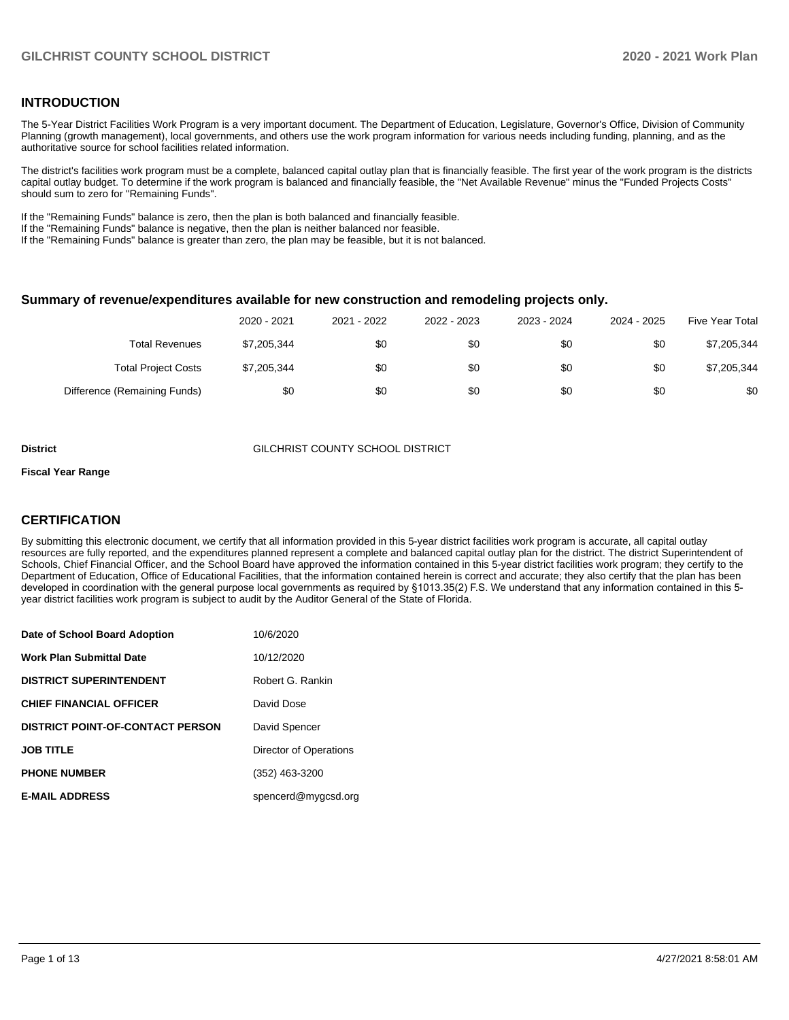#### **INTRODUCTION**

The 5-Year District Facilities Work Program is a very important document. The Department of Education, Legislature, Governor's Office, Division of Community Planning (growth management), local governments, and others use the work program information for various needs including funding, planning, and as the authoritative source for school facilities related information.

The district's facilities work program must be a complete, balanced capital outlay plan that is financially feasible. The first year of the work program is the districts capital outlay budget. To determine if the work program is balanced and financially feasible, the "Net Available Revenue" minus the "Funded Projects Costs" should sum to zero for "Remaining Funds".

If the "Remaining Funds" balance is zero, then the plan is both balanced and financially feasible.

If the "Remaining Funds" balance is negative, then the plan is neither balanced nor feasible.

If the "Remaining Funds" balance is greater than zero, the plan may be feasible, but it is not balanced.

#### **Summary of revenue/expenditures available for new construction and remodeling projects only.**

| <b>Five Year Total</b> | 2024 - 2025 | 2023 - 2024 | 2022 - 2023 | 2021 - 2022 | 2020 - 2021 |                              |
|------------------------|-------------|-------------|-------------|-------------|-------------|------------------------------|
| \$7,205,344            | \$0         | \$0         | \$0         | \$0         | \$7,205,344 | Total Revenues               |
| \$7,205,344            | \$0         | \$0         | \$0         | \$0         | \$7,205,344 | <b>Total Project Costs</b>   |
| \$0                    | \$0         | \$0         | \$0         | \$0         | \$0         | Difference (Remaining Funds) |

#### **District** GILCHRIST COUNTY SCHOOL DISTRICT

#### **Fiscal Year Range**

## **CERTIFICATION**

By submitting this electronic document, we certify that all information provided in this 5-year district facilities work program is accurate, all capital outlay resources are fully reported, and the expenditures planned represent a complete and balanced capital outlay plan for the district. The district Superintendent of Schools, Chief Financial Officer, and the School Board have approved the information contained in this 5-year district facilities work program; they certify to the Department of Education, Office of Educational Facilities, that the information contained herein is correct and accurate; they also certify that the plan has been developed in coordination with the general purpose local governments as required by §1013.35(2) F.S. We understand that any information contained in this 5 year district facilities work program is subject to audit by the Auditor General of the State of Florida.

| Date of School Board Adoption           | 10/6/2020              |
|-----------------------------------------|------------------------|
| Work Plan Submittal Date                | 10/12/2020             |
| <b>DISTRICT SUPERINTENDENT</b>          | Robert G. Rankin       |
| <b>CHIEF FINANCIAL OFFICER</b>          | David Dose             |
| <b>DISTRICT POINT-OF-CONTACT PERSON</b> | David Spencer          |
| <b>JOB TITLE</b>                        | Director of Operations |
| <b>PHONE NUMBER</b>                     | (352) 463-3200         |
| <b>E-MAIL ADDRESS</b>                   | spencerd@mygcsd.org    |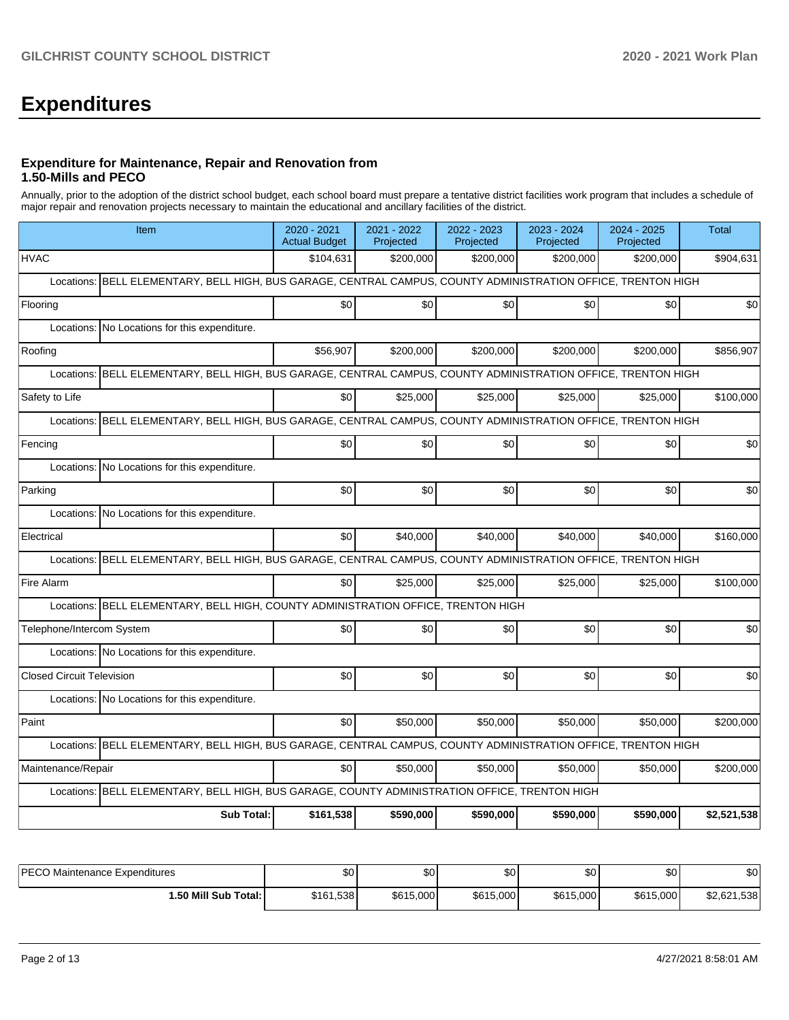# **Expenditures**

#### **Expenditure for Maintenance, Repair and Renovation from 1.50-Mills and PECO**

Annually, prior to the adoption of the district school budget, each school board must prepare a tentative district facilities work program that includes a schedule of major repair and renovation projects necessary to maintain the educational and ancillary facilities of the district.

| Item                                                                                                             | 2020 - 2021<br><b>Actual Budget</b> | 2021 - 2022<br>Projected | 2022 - 2023<br>Projected | 2023 - 2024<br>Projected | 2024 - 2025<br>Projected | <b>Total</b> |  |  |  |  |
|------------------------------------------------------------------------------------------------------------------|-------------------------------------|--------------------------|--------------------------|--------------------------|--------------------------|--------------|--|--|--|--|
| <b>HVAC</b>                                                                                                      | \$104,631                           | \$200.000                | \$200,000                | \$200,000                | \$200.000                | \$904,631    |  |  |  |  |
| BELL ELEMENTARY, BELL HIGH, BUS GARAGE, CENTRAL CAMPUS, COUNTY ADMINISTRATION OFFICE, TRENTON HIGH<br>Locations: |                                     |                          |                          |                          |                          |              |  |  |  |  |
| Flooring                                                                                                         | \$0                                 | \$0                      | \$0                      | \$0                      | \$0                      | \$0          |  |  |  |  |
| Locations: No Locations for this expenditure.                                                                    |                                     |                          |                          |                          |                          |              |  |  |  |  |
| Roofing                                                                                                          | \$56,907                            | \$200,000                | \$200,000                | \$200,000                | \$200,000                | \$856,907    |  |  |  |  |
| BELL ELEMENTARY, BELL HIGH, BUS GARAGE, CENTRAL CAMPUS, COUNTY ADMINISTRATION OFFICE, TRENTON HIGH<br>Locations: |                                     |                          |                          |                          |                          |              |  |  |  |  |
| Safety to Life                                                                                                   | \$0                                 | \$25,000                 | \$25,000                 | \$25,000                 | \$25,000                 | \$100,000    |  |  |  |  |
| BELL ELEMENTARY, BELL HIGH, BUS GARAGE, CENTRAL CAMPUS, COUNTY ADMINISTRATION OFFICE, TRENTON HIGH<br>Locations: |                                     |                          |                          |                          |                          |              |  |  |  |  |
| Fencing                                                                                                          | \$0                                 | \$0                      | \$0                      | \$0                      | \$0                      | \$0          |  |  |  |  |
| Locations: No Locations for this expenditure.                                                                    |                                     |                          |                          |                          |                          |              |  |  |  |  |
| Parking                                                                                                          | \$0                                 | \$0                      | \$0                      | \$0                      | \$0                      | \$0          |  |  |  |  |
| Locations: No Locations for this expenditure.                                                                    |                                     |                          |                          |                          |                          |              |  |  |  |  |
| Electrical                                                                                                       | \$0                                 | \$40,000                 | \$40,000                 | \$40,000                 | \$40,000                 | \$160,000    |  |  |  |  |
| Locations: BELL ELEMENTARY, BELL HIGH, BUS GARAGE, CENTRAL CAMPUS, COUNTY ADMINISTRATION OFFICE, TRENTON HIGH    |                                     |                          |                          |                          |                          |              |  |  |  |  |
| Fire Alarm                                                                                                       | \$0                                 | \$25,000                 | \$25,000                 | \$25,000                 | \$25,000                 | \$100,000    |  |  |  |  |
| Locations: BELL ELEMENTARY, BELL HIGH, COUNTY ADMINISTRATION OFFICE, TRENTON HIGH                                |                                     |                          |                          |                          |                          |              |  |  |  |  |
| Telephone/Intercom System                                                                                        | \$0                                 | \$0                      | \$0                      | \$0                      | \$0 <sub>1</sub>         | \$0          |  |  |  |  |
| Locations: No Locations for this expenditure.                                                                    |                                     |                          |                          |                          |                          |              |  |  |  |  |
| <b>Closed Circuit Television</b>                                                                                 | \$0                                 | \$0                      | \$0                      | \$0                      | \$0                      | \$0          |  |  |  |  |
| Locations: No Locations for this expenditure.                                                                    |                                     |                          |                          |                          |                          |              |  |  |  |  |
| Paint                                                                                                            | \$0                                 | \$50,000                 | \$50,000                 | \$50,000                 | \$50,000                 | \$200,000    |  |  |  |  |
| Locations: BELL ELEMENTARY, BELL HIGH, BUS GARAGE, CENTRAL CAMPUS, COUNTY ADMINISTRATION OFFICE, TRENTON HIGH    |                                     |                          |                          |                          |                          |              |  |  |  |  |
| Maintenance/Repair                                                                                               | \$0                                 | \$50,000                 | \$50,000                 | \$50,000                 | \$50,000                 | \$200,000    |  |  |  |  |
| Locations: BELL ELEMENTARY, BELL HIGH, BUS GARAGE, COUNTY ADMINISTRATION OFFICE, TRENTON HIGH                    |                                     |                          |                          |                          |                          |              |  |  |  |  |
| <b>Sub Total:</b>                                                                                                | \$161,538                           | \$590,000                | \$590,000                | \$590.000                | \$590.000                | \$2,521,538  |  |  |  |  |

| <b>IPECO Maintenance Expenditures</b> | \$0       | ¢∩<br>υU  | \$0       | ሖ<br>υU   | ሶሳ<br>υ∪  | $\sim$<br>ΦU |
|---------------------------------------|-----------|-----------|-----------|-----------|-----------|--------------|
| 1.50 Mill Sub Total:                  | \$161,538 | \$615,000 | \$615,000 | \$615,000 | \$615,000 | \$2,621,538  |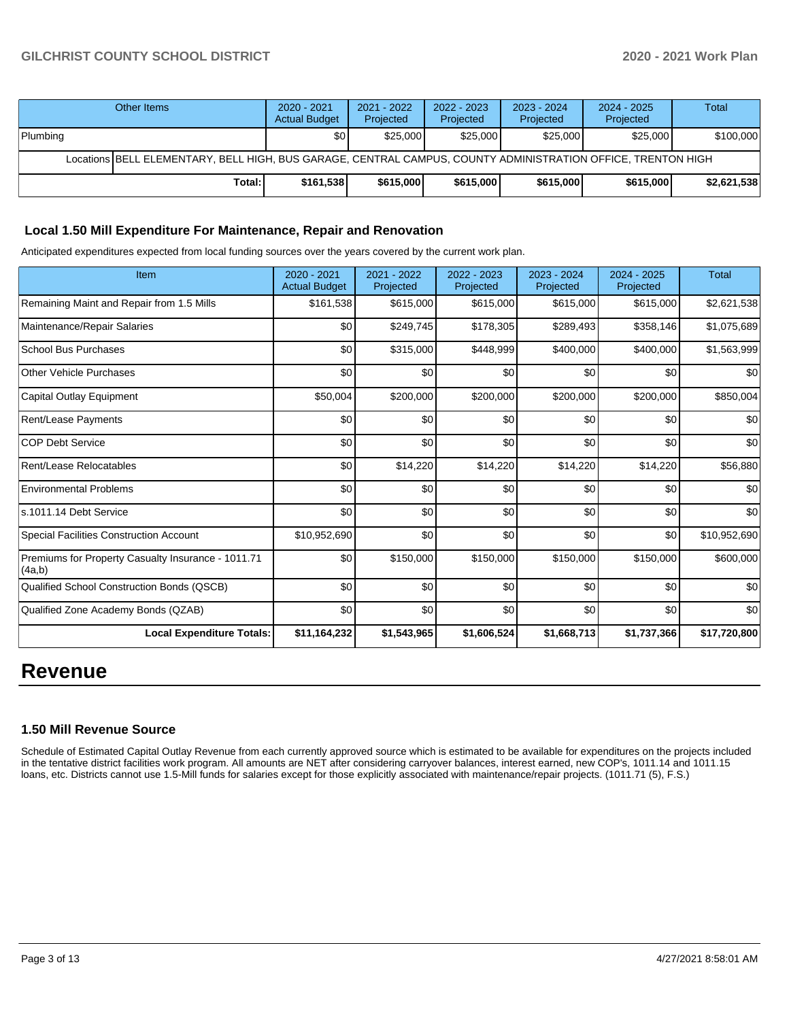## **GILCHRIST COUNTY SCHOOL DISTRICT 2020 - 2021 Work Plan**

|                                                                                                              | Other Items | $2020 - 2021$<br><b>Actual Budget</b> | 2021 - 2022<br>Projected | 2022 - 2023<br>Projected | $2023 - 2024$<br>Projected | 2024 - 2025<br>Projected | Total       |  |  |
|--------------------------------------------------------------------------------------------------------------|-------------|---------------------------------------|--------------------------|--------------------------|----------------------------|--------------------------|-------------|--|--|
| Plumbing                                                                                                     |             | \$0                                   | \$25,000                 | \$25,000                 | \$25,000                   | \$25,000                 | \$100,000   |  |  |
| Locations BELL ELEMENTARY, BELL HIGH, BUS GARAGE, CENTRAL CAMPUS, COUNTY ADMINISTRATION OFFICE, TRENTON HIGH |             |                                       |                          |                          |                            |                          |             |  |  |
|                                                                                                              | Total:      | \$161.538                             | \$615,000                | \$615,000                | \$615,000                  | \$615,000                | \$2,621,538 |  |  |

### **Local 1.50 Mill Expenditure For Maintenance, Repair and Renovation**

Anticipated expenditures expected from local funding sources over the years covered by the current work plan.

| Item                                                         | 2020 - 2021<br><b>Actual Budget</b> | 2021 - 2022<br>Projected | 2022 - 2023<br>Projected | 2023 - 2024<br>Projected | 2024 - 2025<br>Projected | <b>Total</b> |
|--------------------------------------------------------------|-------------------------------------|--------------------------|--------------------------|--------------------------|--------------------------|--------------|
| Remaining Maint and Repair from 1.5 Mills                    | \$161,538                           | \$615,000                | \$615,000                | \$615,000                | \$615,000                | \$2,621,538  |
| Maintenance/Repair Salaries                                  | \$0                                 | \$249,745                | \$178,305                | \$289,493                | \$358,146                | \$1,075,689  |
| <b>School Bus Purchases</b>                                  | \$0                                 | \$315,000                | \$448,999                | \$400,000                | \$400,000                | \$1,563,999  |
| <b>Other Vehicle Purchases</b>                               | \$0                                 | \$0                      | \$0                      | \$0                      | \$0                      | \$0          |
| Capital Outlay Equipment                                     | \$50,004                            | \$200,000                | \$200,000                | \$200,000                | \$200,000                | \$850,004    |
| Rent/Lease Payments                                          | \$0                                 | \$0                      | \$0                      | \$0                      | \$0                      | \$0          |
| <b>COP Debt Service</b>                                      | \$0                                 | \$0                      | \$0                      | \$0                      | \$0                      | \$0          |
| Rent/Lease Relocatables                                      | \$0                                 | \$14,220                 | \$14,220                 | \$14,220                 | \$14,220                 | \$56,880     |
| <b>Environmental Problems</b>                                | \$0                                 | \$0                      | \$0                      | \$0                      | \$0                      | \$0          |
| s.1011.14 Debt Service                                       | \$0                                 | \$0                      | \$0                      | \$0                      | \$0                      | \$0          |
| Special Facilities Construction Account                      | \$10,952,690                        | \$0                      | \$0                      | \$0                      | \$0                      | \$10,952,690 |
| Premiums for Property Casualty Insurance - 1011.71<br>(4a,b) | \$0                                 | \$150,000                | \$150,000                | \$150,000                | \$150,000                | \$600,000    |
| Qualified School Construction Bonds (QSCB)                   | \$0                                 | \$0                      | \$0                      | \$0                      | \$0                      | \$0          |
| Qualified Zone Academy Bonds (QZAB)                          | \$0                                 | \$0                      | \$0                      | \$0                      | \$0                      | \$0          |
| <b>Local Expenditure Totals:</b>                             | \$11,164,232                        | \$1,543,965              | \$1,606,524              | \$1,668,713              | \$1,737,366              | \$17,720,800 |

# **Revenue**

## **1.50 Mill Revenue Source**

Schedule of Estimated Capital Outlay Revenue from each currently approved source which is estimated to be available for expenditures on the projects included in the tentative district facilities work program. All amounts are NET after considering carryover balances, interest earned, new COP's, 1011.14 and 1011.15 loans, etc. Districts cannot use 1.5-Mill funds for salaries except for those explicitly associated with maintenance/repair projects. (1011.71 (5), F.S.)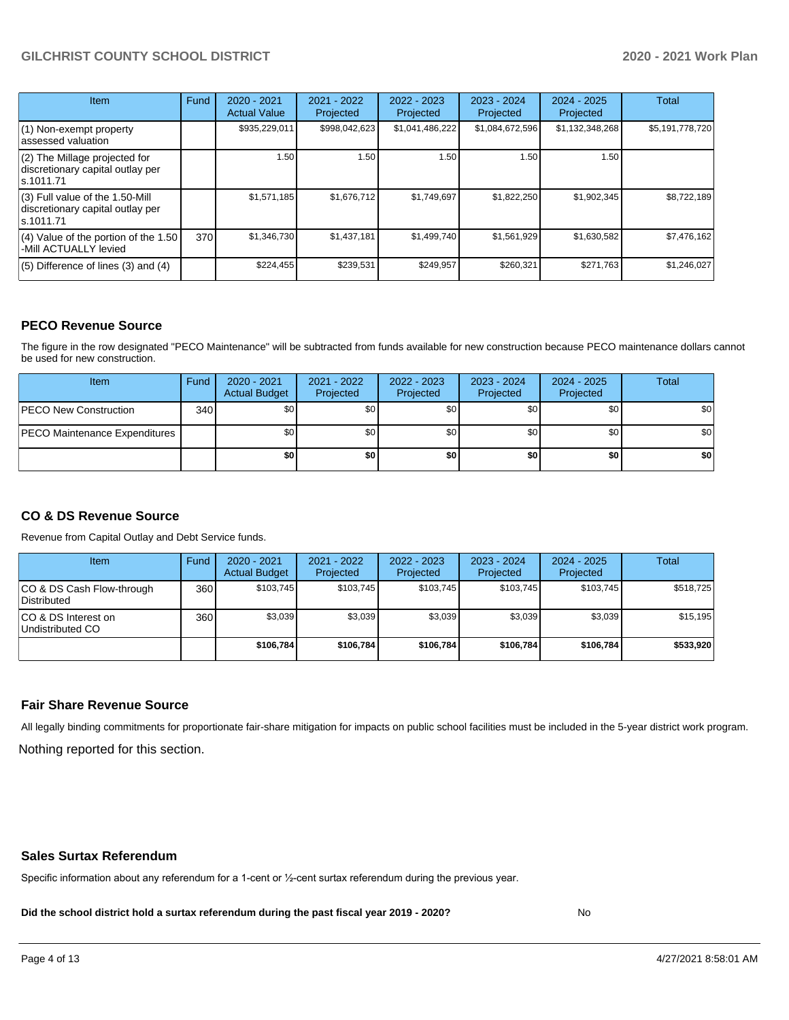## **GILCHRIST COUNTY SCHOOL DISTRICT 2020 - 2021 Work Plan**

| Item                                                                                | Fund | $2020 - 2021$<br><b>Actual Value</b> | $2021 - 2022$<br>Projected | $2022 - 2023$<br>Projected | $2023 - 2024$<br>Projected | $2024 - 2025$<br>Projected | Total           |
|-------------------------------------------------------------------------------------|------|--------------------------------------|----------------------------|----------------------------|----------------------------|----------------------------|-----------------|
| $(1)$ Non-exempt property<br>lassessed valuation                                    |      | \$935,229,011                        | \$998,042,623              | \$1,041,486,222            | \$1,084,672,596            | \$1,132,348,268            | \$5,191,778,720 |
| (2) The Millage projected for<br>discretionary capital outlay per<br>ls.1011.71     |      | 1.50                                 | 1.50                       | 1.50                       | 1.50                       | 1.50                       |                 |
| $(3)$ Full value of the 1.50-Mill<br>discretionary capital outlay per<br>ls.1011.71 |      | \$1,571,185                          | \$1,676,712                | \$1,749,697                | \$1,822,250                | \$1,902,345                | \$8,722,189     |
| $(4)$ Value of the portion of the 1.50<br>-Mill ACTUALLY levied                     | 370  | \$1,346,730                          | \$1,437,181                | \$1,499,740                | \$1,561,929                | \$1,630,582                | \$7,476,162     |
| $(5)$ Difference of lines $(3)$ and $(4)$                                           |      | \$224,455                            | \$239,531                  | \$249.957                  | \$260,321                  | \$271,763                  | \$1,246,027     |

### **PECO Revenue Source**

The figure in the row designated "PECO Maintenance" will be subtracted from funds available for new construction because PECO maintenance dollars cannot be used for new construction.

| Item                                 | Fund | $2020 - 2021$<br><b>Actual Budget</b> | 2021 - 2022<br>Projected | 2022 - 2023<br>Projected | 2023 - 2024<br>Projected | $2024 - 2025$<br>Projected | Total            |
|--------------------------------------|------|---------------------------------------|--------------------------|--------------------------|--------------------------|----------------------------|------------------|
| <b>IPECO New Construction</b>        | 340  | \$0                                   | \$0                      | \$0                      | \$0                      | \$0                        | \$0 <sub>1</sub> |
| <b>PECO Maintenance Expenditures</b> |      | \$0                                   | \$0                      | \$0                      | \$0 <sub>1</sub>         | \$0                        | \$0 <sub>1</sub> |
|                                      |      | \$0                                   | \$0                      | \$0                      | \$0                      | \$0                        | \$0              |

## **CO & DS Revenue Source**

Revenue from Capital Outlay and Debt Service funds.

| <b>Item</b>                               | Fund | $2020 - 2021$<br><b>Actual Budget</b> | 2021 - 2022<br>Projected | 2022 - 2023<br>Projected | $2023 - 2024$<br>Projected | $2024 - 2025$<br>Projected | Total     |
|-------------------------------------------|------|---------------------------------------|--------------------------|--------------------------|----------------------------|----------------------------|-----------|
| ICO & DS Cash Flow-through<br>Distributed | 360  | \$103.745                             | \$103.745                | \$103.745                | \$103.745                  | \$103.745                  | \$518,725 |
| ICO & DS Interest on<br>Undistributed CO  | 360  | \$3.039                               | \$3.039                  | \$3.039                  | \$3.039                    | \$3,039                    | \$15.195  |
|                                           |      | \$106.784                             | \$106.784                | \$106.784                | \$106.784                  | \$106.784                  | \$533,920 |

#### **Fair Share Revenue Source**

Nothing reported for this section. All legally binding commitments for proportionate fair-share mitigation for impacts on public school facilities must be included in the 5-year district work program.

#### **Sales Surtax Referendum**

Specific information about any referendum for a 1-cent or ½-cent surtax referendum during the previous year.

**Did the school district hold a surtax referendum during the past fiscal year 2019 - 2020?**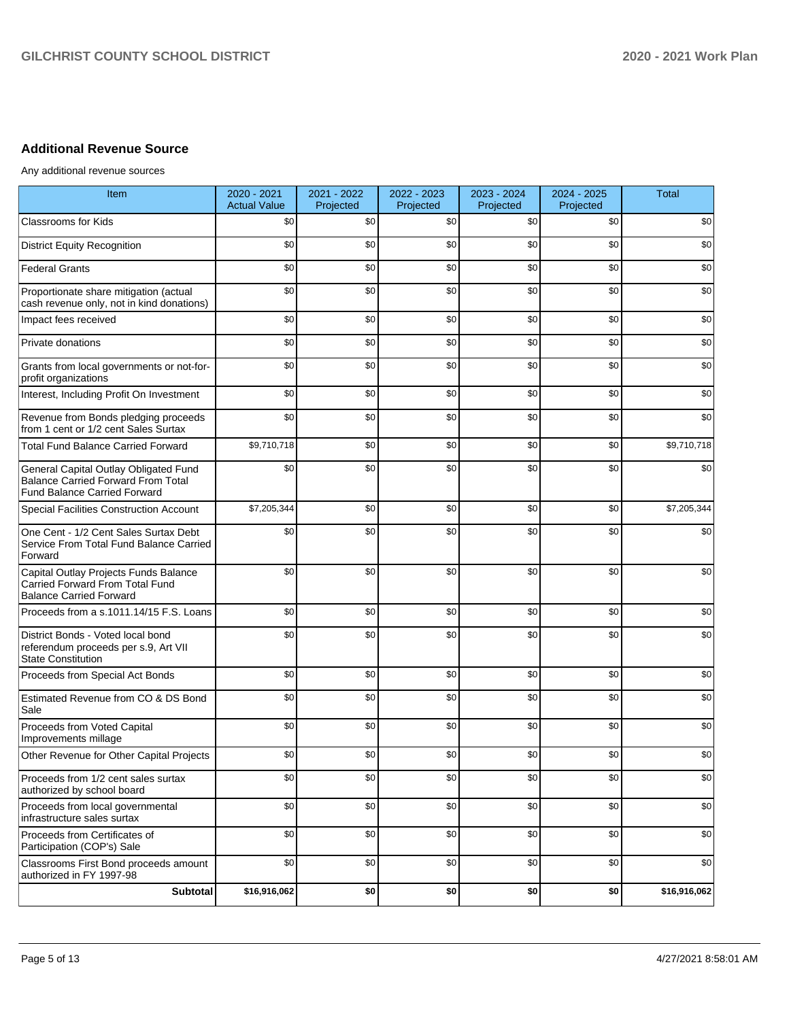## **Additional Revenue Source**

Any additional revenue sources

| Item                                                                                                                      | 2020 - 2021<br><b>Actual Value</b> | 2021 - 2022<br>Projected | 2022 - 2023<br>Projected | 2023 - 2024<br>Projected | 2024 - 2025<br>Projected | <b>Total</b> |
|---------------------------------------------------------------------------------------------------------------------------|------------------------------------|--------------------------|--------------------------|--------------------------|--------------------------|--------------|
| <b>Classrooms for Kids</b>                                                                                                | \$0                                | \$0                      | \$0                      | \$0                      | \$0                      | \$0          |
| <b>District Equity Recognition</b>                                                                                        | \$0                                | \$0                      | \$0                      | \$0                      | \$0                      | \$0          |
| <b>Federal Grants</b>                                                                                                     | \$0                                | \$0                      | \$0                      | \$0                      | \$0                      | \$0          |
| Proportionate share mitigation (actual<br>cash revenue only, not in kind donations)                                       | \$0                                | \$0                      | \$0                      | \$0                      | \$0                      | \$0          |
| Impact fees received                                                                                                      | \$0                                | \$0                      | \$0                      | \$0                      | \$0                      | \$0          |
| Private donations                                                                                                         | \$0                                | \$0                      | \$0                      | \$0                      | \$0                      | \$0          |
| Grants from local governments or not-for-<br>profit organizations                                                         | \$0                                | \$0                      | \$0                      | \$0                      | \$0                      | \$0          |
| Interest, Including Profit On Investment                                                                                  | \$0                                | \$0                      | \$0                      | \$0                      | \$0                      | \$0          |
| Revenue from Bonds pledging proceeds<br>from 1 cent or 1/2 cent Sales Surtax                                              | \$0                                | \$0                      | \$0                      | \$0                      | \$0                      | \$0          |
| <b>Total Fund Balance Carried Forward</b>                                                                                 | \$9,710,718                        | \$0                      | \$0                      | \$0                      | \$0                      | \$9,710,718  |
| General Capital Outlay Obligated Fund<br><b>Balance Carried Forward From Total</b><br><b>Fund Balance Carried Forward</b> | \$0                                | \$0                      | \$0                      | \$0                      | \$0                      | \$0          |
| Special Facilities Construction Account                                                                                   | \$7,205,344                        | \$0                      | \$0                      | \$0                      | \$0                      | \$7,205,344  |
| One Cent - 1/2 Cent Sales Surtax Debt<br>Service From Total Fund Balance Carried<br>Forward                               | \$0                                | \$0                      | \$0                      | \$0                      | \$0                      | \$0          |
| Capital Outlay Projects Funds Balance<br>Carried Forward From Total Fund<br><b>Balance Carried Forward</b>                | \$0                                | \$0                      | \$0                      | \$0                      | \$0                      | \$0          |
| Proceeds from a s.1011.14/15 F.S. Loans                                                                                   | \$0                                | \$0                      | \$0                      | \$0                      | \$0                      | \$0          |
| District Bonds - Voted local bond<br>referendum proceeds per s.9, Art VII<br><b>State Constitution</b>                    | \$0                                | \$0                      | \$0                      | \$0                      | \$0                      | \$0          |
| Proceeds from Special Act Bonds                                                                                           | \$0                                | \$0                      | \$0                      | \$0                      | \$0                      | \$0          |
| Estimated Revenue from CO & DS Bond<br>Sale                                                                               | \$0                                | \$0                      | \$0                      | \$0                      | \$0                      | \$0          |
| Proceeds from Voted Capital<br>Improvements millage                                                                       | \$0                                | \$0                      | \$0                      | \$0                      | \$0                      | \$0          |
| Other Revenue for Other Capital Projects                                                                                  | \$0                                | \$0                      | \$0                      | \$0                      | \$0                      | \$0          |
| Proceeds from 1/2 cent sales surtax<br>authorized by school board                                                         | \$0                                | \$0                      | \$0                      | \$0                      | \$0                      | \$0          |
| Proceeds from local governmental<br>infrastructure sales surtax                                                           | \$0                                | \$0                      | \$0                      | \$0                      | \$0                      | \$0          |
| Proceeds from Certificates of<br>Participation (COP's) Sale                                                               | \$0                                | \$0                      | \$0                      | \$0                      | \$0                      | \$0          |
| Classrooms First Bond proceeds amount<br>authorized in FY 1997-98                                                         | \$0                                | \$0                      | \$0                      | \$0                      | \$0                      | \$0          |
| Subtotal                                                                                                                  | \$16,916,062                       | \$0                      | \$0                      | \$0                      | \$0                      | \$16,916,062 |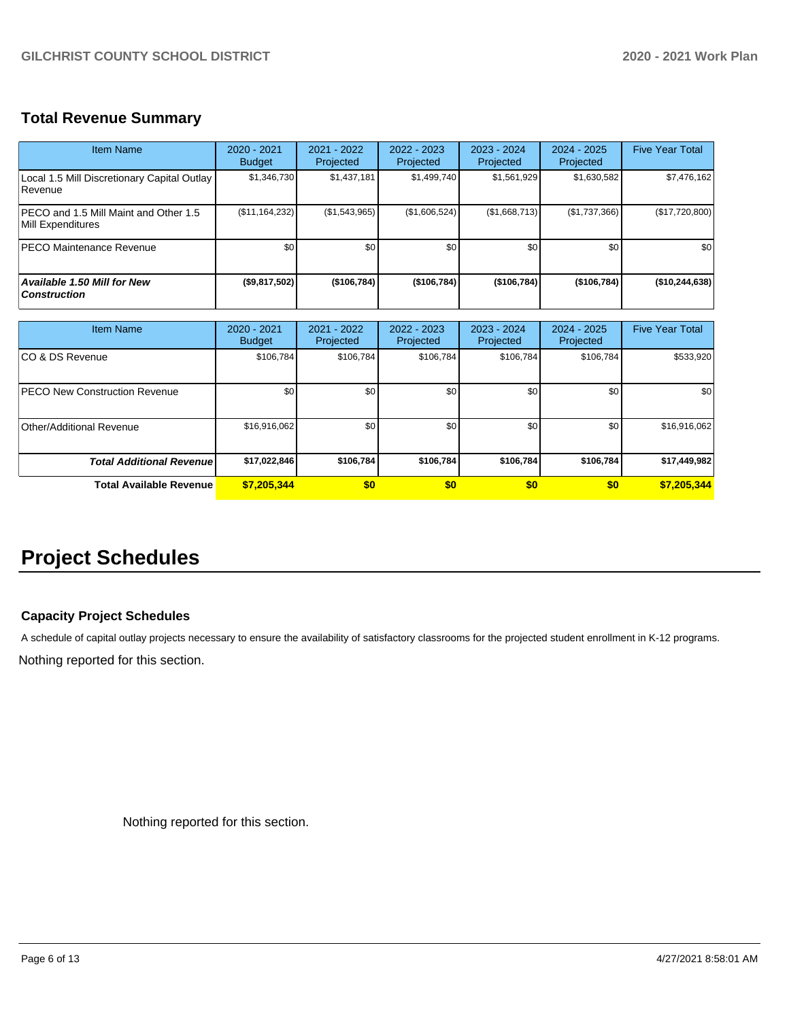# **Total Revenue Summary**

| Item Name                                                  | $2020 - 2021$<br><b>Budget</b> | $2021 - 2022$<br>Projected | $2022 - 2023$<br>Projected | $2023 - 2024$<br>Projected | $2024 - 2025$<br>Projected | <b>Five Year Total</b> |
|------------------------------------------------------------|--------------------------------|----------------------------|----------------------------|----------------------------|----------------------------|------------------------|
| Local 1.5 Mill Discretionary Capital Outlay<br>Revenue     | \$1,346,730                    | \$1,437,181                | \$1,499,740                | \$1,561,929                | \$1,630,582                | \$7,476,162            |
| PECO and 1.5 Mill Maint and Other 1.5<br>Mill Expenditures | (\$11,164,232)                 | (\$1,543,965)              | (\$1,606,524)              | (\$1,668,713)              | (\$1,737,366)              | (\$17,720,800)         |
| <b>PECO Maintenance Revenue</b>                            | \$0                            | \$0                        | \$0                        | \$0                        | \$0                        | \$0                    |
| <b>Available 1.50 Mill for New</b><br><b>Construction</b>  | (\$9,817,502)                  | (\$106,784)                | (\$106,784)                | (\$106,784)                | (\$106,784)                | (\$10,244,638)         |

| <b>Item Name</b>                      | $2020 - 2021$<br><b>Budget</b> | 2021 - 2022<br>Projected | 2022 - 2023<br>Projected | 2023 - 2024<br>Projected | 2024 - 2025<br>Projected | <b>Five Year Total</b> |
|---------------------------------------|--------------------------------|--------------------------|--------------------------|--------------------------|--------------------------|------------------------|
| ICO & DS Revenue                      | \$106,784                      | \$106,784                | \$106.784                | \$106,784                | \$106,784                | \$533,920              |
| <b>IPECO New Construction Revenue</b> | \$0                            | \$0 <sub>1</sub>         | \$0                      | \$0                      | \$0                      | \$0                    |
| Other/Additional Revenue              | \$16,916,062                   | \$0 <sub>1</sub>         | \$0                      | \$0                      | \$0                      | \$16,916,062           |
| <b>Total Additional Revenuel</b>      | \$17,022,846                   | \$106.784                | \$106.784                | \$106,784                | \$106.784                | \$17,449,982           |
| <b>Total Available Revenue</b>        | \$7,205,344                    | \$0                      | \$0                      | \$0                      | \$0                      | \$7,205,344            |

# **Project Schedules**

## **Capacity Project Schedules**

A schedule of capital outlay projects necessary to ensure the availability of satisfactory classrooms for the projected student enrollment in K-12 programs.

Nothing reported for this section.

Nothing reported for this section.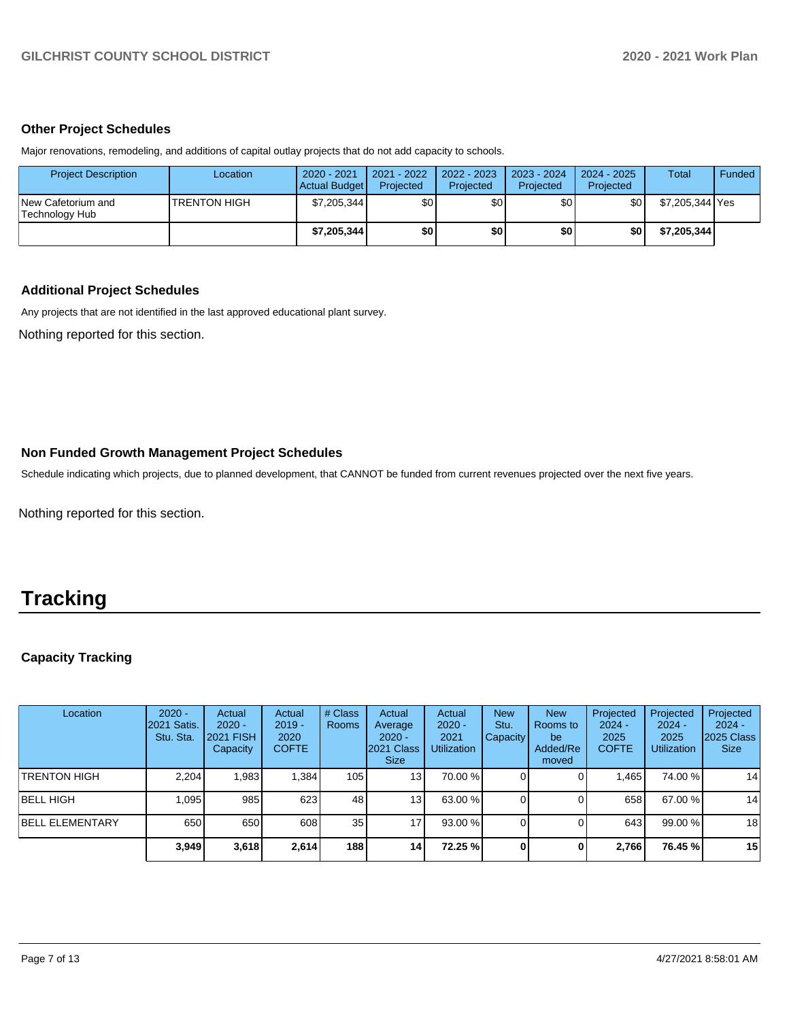#### **Other Project Schedules**

Major renovations, remodeling, and additions of capital outlay projects that do not add capacity to schools.

| <b>Project Description</b>           | Location             | 2020 - 2021<br>Actual Budget | 2021 - 2022<br>Projected | $2022 - 2023$<br>Projected | 2023 - 2024<br>Projected | $2024 - 2025$<br>Projected | <b>Total</b>    | Funded |
|--------------------------------------|----------------------|------------------------------|--------------------------|----------------------------|--------------------------|----------------------------|-----------------|--------|
| New Cafetorium and<br>Technology Hub | <b>ITRENTON HIGH</b> | \$7,205,344                  | \$0                      | \$0                        | \$0                      | \$0                        | \$7.205.344 Yes |        |
|                                      |                      | \$7,205,344                  | \$0 I                    | \$0                        | \$0                      | \$0                        | \$7,205,344     |        |

### **Additional Project Schedules**

Any projects that are not identified in the last approved educational plant survey.

Nothing reported for this section.

## **Non Funded Growth Management Project Schedules**

Schedule indicating which projects, due to planned development, that CANNOT be funded from current revenues projected over the next five years.

Nothing reported for this section.

# **Tracking**

## **Capacity Tracking**

| Location               | $2020 -$<br>2021 Satis.<br>Stu. Sta. | Actual<br>$2020 -$<br><b>2021 FISH</b><br>Capacity | Actual<br>$2019 -$<br>2020<br><b>COFTE</b> | # Class<br><b>Rooms</b> | Actual<br>Average<br>$2020 -$<br>2021 Class<br><b>Size</b> | Actual<br>$2020 -$<br>2021<br><b>Utilization</b> | <b>New</b><br>Stu.<br>Capacity | <b>New</b><br><b>Rooms</b> to<br>be<br>Added/Re<br>moved | Projected<br>$2024 -$<br>2025<br><b>COFTE</b> | Projected<br>$2024 -$<br>2025<br><b>Utilization</b> | Projected<br>$2024 -$<br>2025 Class<br><b>Size</b> |
|------------------------|--------------------------------------|----------------------------------------------------|--------------------------------------------|-------------------------|------------------------------------------------------------|--------------------------------------------------|--------------------------------|----------------------------------------------------------|-----------------------------------------------|-----------------------------------------------------|----------------------------------------------------|
| <b>TRENTON HIGH</b>    | 2,204                                | 1,983                                              | 1,384                                      | 105                     | 13 <sub>l</sub>                                            | 70.00 %                                          |                                |                                                          | 1,465                                         | 74.00 %                                             | 14                                                 |
| BELL HIGH              | 1.095                                | 985                                                | 623                                        | 48                      | 13 <sub>l</sub>                                            | 63.00 %                                          |                                |                                                          | 658                                           | 67.00 %                                             | 14                                                 |
| <b>BELL ELEMENTARY</b> | 650                                  | 650                                                | 608                                        | 35 <sub>1</sub>         | 17                                                         | 93.00 %                                          |                                |                                                          | 643                                           | 99.00 %                                             | 18                                                 |
|                        | 3,949                                | 3,618                                              | 2,614                                      | 188                     | 14                                                         | 72.25 %                                          |                                | $\Omega$                                                 | 2.766                                         | 76.45 %                                             | 15                                                 |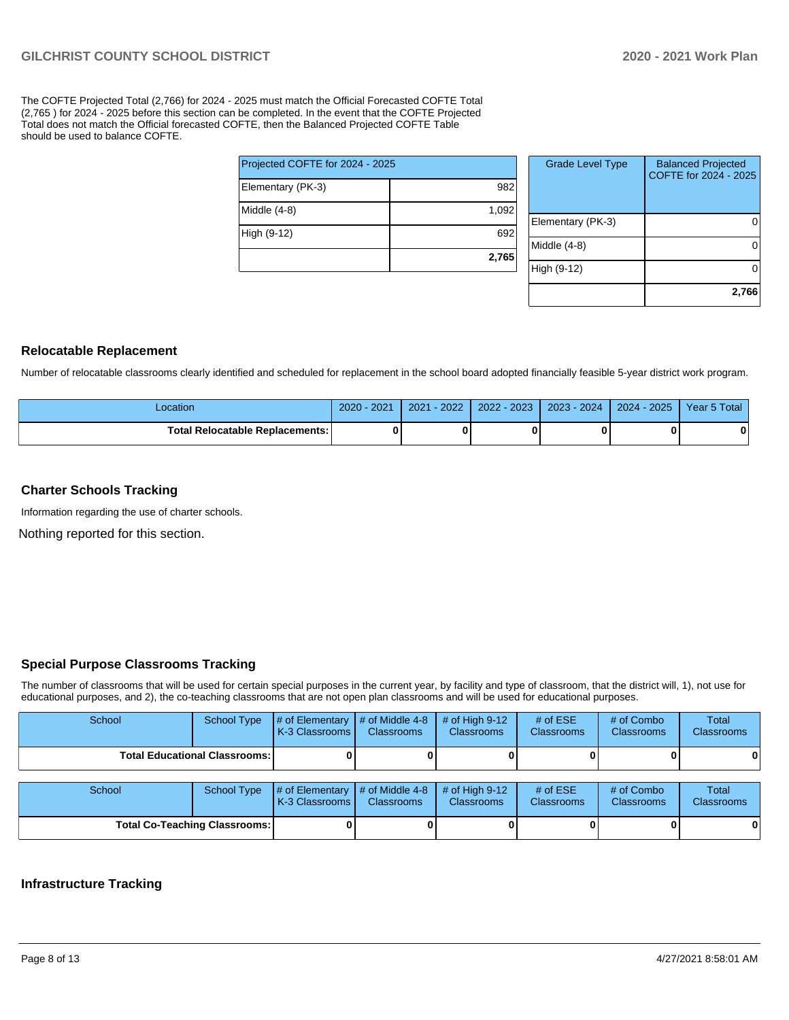The COFTE Projected Total (2,766) for 2024 - 2025 must match the Official Forecasted COFTE Total (2,765 ) for 2024 - 2025 before this section can be completed. In the event that the COFTE Projected Total does not match the Official forecasted COFTE, then the Balanced Projected COFTE Table should be used to balance COFTE.

|                                 | 2,765 |
|---------------------------------|-------|
| High (9-12)                     | 692   |
| Middle (4-8)                    | 1,092 |
| Elementary (PK-3)               | 982   |
| Projected COFTE for 2024 - 2025 |       |

| <b>Grade Level Type</b> | <b>Balanced Projected</b><br>COFTE for 2024 - 2025 |
|-------------------------|----------------------------------------------------|
| Elementary (PK-3)       |                                                    |
| Middle (4-8)            |                                                    |
| High (9-12)             |                                                    |
|                         | 2,766                                              |

#### **Relocatable Replacement**

Number of relocatable classrooms clearly identified and scheduled for replacement in the school board adopted financially feasible 5-year district work program.

| -ocation                          | 2020 - 2021 | $-2022$<br>2021 | 2022 - 2023 | $2023 - 2024$ | $-2025$<br>$2024 -$ | Year 5 Total |
|-----------------------------------|-------------|-----------------|-------------|---------------|---------------------|--------------|
| Total Relocatable Replacements: I | 0           |                 |             |               |                     |              |

#### **Charter Schools Tracking**

Information regarding the use of charter schools.

Nothing reported for this section.

#### **Special Purpose Classrooms Tracking**

The number of classrooms that will be used for certain special purposes in the current year, by facility and type of classroom, that the district will, 1), not use for educational purposes, and 2), the co-teaching classrooms that are not open plan classrooms and will be used for educational purposes.

| School                               | <b>School Type</b>                     | # of Elementary<br>K-3 Classrooms                          | $\#$ of Middle 4-8<br><b>Classrooms</b> | $#$ of High 9-12<br><b>Classrooms</b> | # of $ESE$<br><b>Classrooms</b> | # of Combo<br><b>Classrooms</b> | Total<br><b>Classrooms</b> |
|--------------------------------------|----------------------------------------|------------------------------------------------------------|-----------------------------------------|---------------------------------------|---------------------------------|---------------------------------|----------------------------|
|                                      | <b>Total Educational Classrooms: I</b> |                                                            |                                         |                                       |                                 |                                 | 0                          |
| School                               | <b>School Type</b>                     | # of Elementary $\mid$ # of Middle 4-8<br>K-3 Classrooms I | <b>Classrooms</b>                       | # of High $9-12$<br><b>Classrooms</b> | # of $ESE$<br><b>Classrooms</b> | # of Combo<br><b>Classrooms</b> | Total<br>Classrooms        |
| <b>Total Co-Teaching Classrooms:</b> |                                        |                                                            |                                         |                                       |                                 |                                 | $\mathbf{0}$               |

#### **Infrastructure Tracking**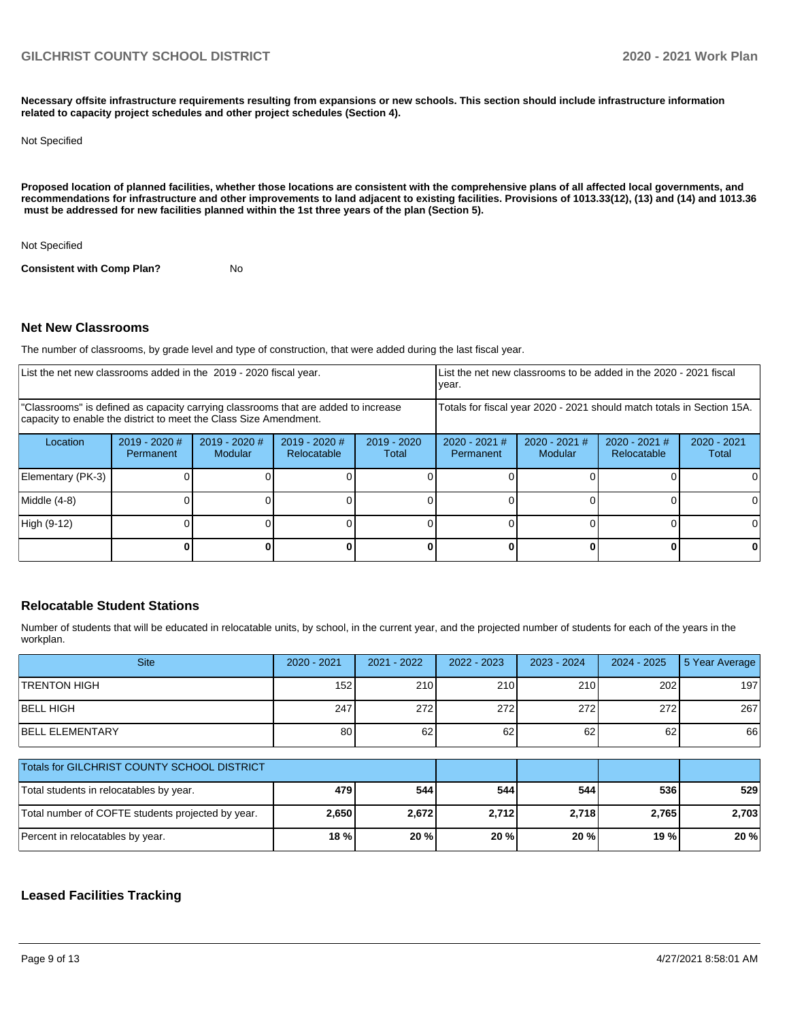**Necessary offsite infrastructure requirements resulting from expansions or new schools. This section should include infrastructure information related to capacity project schedules and other project schedules (Section 4).** 

#### Not Specified

**Proposed location of planned facilities, whether those locations are consistent with the comprehensive plans of all affected local governments, and recommendations for infrastructure and other improvements to land adjacent to existing facilities. Provisions of 1013.33(12), (13) and (14) and 1013.36 must be addressed for new facilities planned within the 1st three years of the plan (Section 5).** 

Not Specified

**Consistent with Comp Plan?** No

#### **Net New Classrooms**

The number of classrooms, by grade level and type of construction, that were added during the last fiscal year.

| List the net new classrooms added in the 2019 - 2020 fiscal year.<br>year.                                                                              |                            |                                 |                                |                        |                              |                            | List the net new classrooms to be added in the 2020 - 2021 fiscal      |                        |
|---------------------------------------------------------------------------------------------------------------------------------------------------------|----------------------------|---------------------------------|--------------------------------|------------------------|------------------------------|----------------------------|------------------------------------------------------------------------|------------------------|
| "Classrooms" is defined as capacity carrying classrooms that are added to increase<br>capacity to enable the district to meet the Class Size Amendment. |                            |                                 |                                |                        |                              |                            | Totals for fiscal year 2020 - 2021 should match totals in Section 15A. |                        |
| Location                                                                                                                                                | 2019 - 2020 #<br>Permanent | 2019 - 2020 #<br><b>Modular</b> | $2019 - 2020$ #<br>Relocatable | $2019 - 2020$<br>Total | $2020 - 2021$ #<br>Permanent | $2020 - 2021$ #<br>Modular | $2020 - 2021$ #<br><b>Relocatable</b>                                  | $2020 - 2021$<br>Total |
| Elementary (PK-3)                                                                                                                                       |                            |                                 |                                |                        |                              |                            |                                                                        |                        |
| Middle (4-8)                                                                                                                                            |                            |                                 |                                |                        |                              |                            |                                                                        |                        |
| High (9-12)                                                                                                                                             |                            |                                 |                                |                        |                              |                            |                                                                        |                        |
|                                                                                                                                                         |                            |                                 |                                |                        |                              |                            |                                                                        |                        |

#### **Relocatable Student Stations**

Number of students that will be educated in relocatable units, by school, in the current year, and the projected number of students for each of the years in the workplan.

| <b>Site</b>                                       | 2020 - 2021      | 2021 - 2022 | 2022 - 2023 | 2023 - 2024 | $2024 - 2025$ | 5 Year Average |
|---------------------------------------------------|------------------|-------------|-------------|-------------|---------------|----------------|
| <b>TRENTON HIGH</b>                               | 152 <sub>1</sub> | 210         | 210         | 210         | 202           | 197            |
| <b>BELL HIGH</b>                                  | 247              | 272         | 272         | 272         | 272           | 267            |
| <b>BELL ELEMENTARY</b>                            | 80               | 62          | 62          | 62          | 62            | 66             |
| Totals for GILCHRIST COUNTY SCHOOL DISTRICT       |                  |             |             |             |               |                |
| Total students in relocatables by year.           | 479              | 544         | 544         | 544         | 536           | 529            |
| Total number of COFTE students projected by year. | 2,650            | 2,672       | 2,712       | 2,718       | 2,765         | 2,703          |
| Percent in relocatables by year.                  | 18 %             | 20 %        | 20 %        | 20 %        | 19 %          | 20 %           |

#### **Leased Facilities Tracking**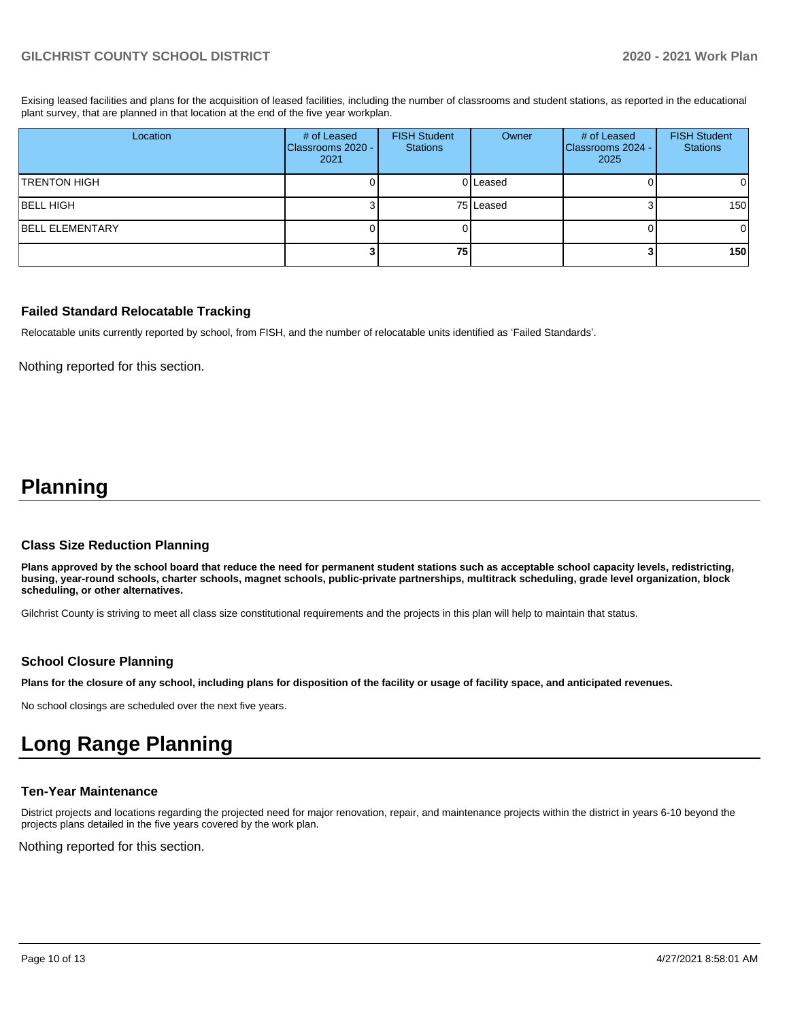Exising leased facilities and plans for the acquisition of leased facilities, including the number of classrooms and student stations, as reported in the educational plant survey, that are planned in that location at the end of the five year workplan.

| Location               | # of Leased<br>Classrooms 2020 -<br>2021 | <b>FISH Student</b><br><b>Stations</b> | Owner     | # of Leased<br>Classrooms 2024 -<br>2025 | <b>FISH Student</b><br><b>Stations</b> |
|------------------------|------------------------------------------|----------------------------------------|-----------|------------------------------------------|----------------------------------------|
| <b>TRENTON HIGH</b>    |                                          |                                        | 0 Leased  |                                          | 01                                     |
| <b>BELL HIGH</b>       |                                          |                                        | 75 Leased |                                          | 150 <sup>1</sup>                       |
| <b>BELL ELEMENTARY</b> |                                          |                                        |           |                                          | $\overline{0}$                         |
|                        |                                          | 75                                     |           |                                          | 150 <sup>1</sup>                       |

#### **Failed Standard Relocatable Tracking**

Relocatable units currently reported by school, from FISH, and the number of relocatable units identified as 'Failed Standards'.

Nothing reported for this section.

# **Planning**

#### **Class Size Reduction Planning**

**Plans approved by the school board that reduce the need for permanent student stations such as acceptable school capacity levels, redistricting, busing, year-round schools, charter schools, magnet schools, public-private partnerships, multitrack scheduling, grade level organization, block scheduling, or other alternatives.**

Gilchrist County is striving to meet all class size constitutional requirements and the projects in this plan will help to maintain that status.

#### **School Closure Planning**

**Plans for the closure of any school, including plans for disposition of the facility or usage of facility space, and anticipated revenues.** 

No school closings are scheduled over the next five years.

# **Long Range Planning**

#### **Ten-Year Maintenance**

District projects and locations regarding the projected need for major renovation, repair, and maintenance projects within the district in years 6-10 beyond the projects plans detailed in the five years covered by the work plan.

Nothing reported for this section.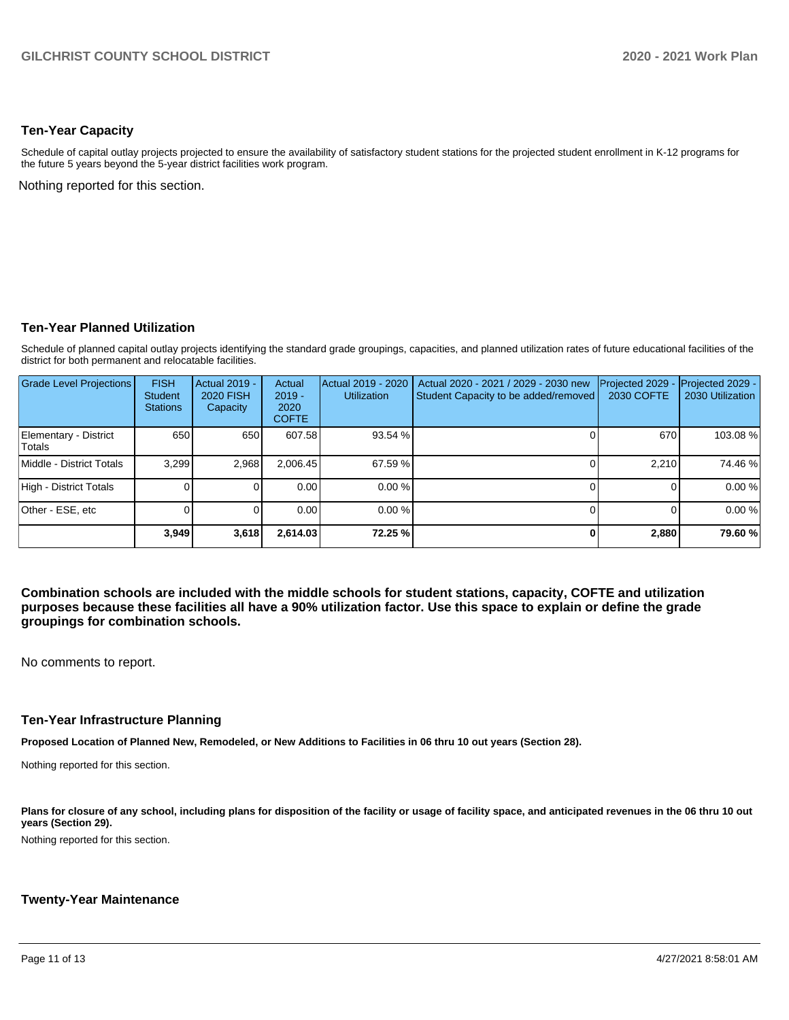#### **Ten-Year Capacity**

Schedule of capital outlay projects projected to ensure the availability of satisfactory student stations for the projected student enrollment in K-12 programs for the future 5 years beyond the 5-year district facilities work program.

Nothing reported for this section.

#### **Ten-Year Planned Utilization**

Schedule of planned capital outlay projects identifying the standard grade groupings, capacities, and planned utilization rates of future educational facilities of the district for both permanent and relocatable facilities.

| <b>Grade Level Projections</b>         | <b>FISH</b><br><b>Student</b><br><b>Stations</b> | Actual 2019 -<br><b>2020 FISH</b><br>Capacity | Actual<br>$2019 -$<br>2020<br><b>COFTE</b> | Actual 2019 - 2020<br><b>Utilization</b> | Actual 2020 - 2021 / 2029 - 2030 new<br>Student Capacity to be added/removed | Projected 2029<br>2030 COFTE | Projected 2029 -<br>2030 Utilization |
|----------------------------------------|--------------------------------------------------|-----------------------------------------------|--------------------------------------------|------------------------------------------|------------------------------------------------------------------------------|------------------------------|--------------------------------------|
| Elementary - District<br><b>Totals</b> | 650                                              | 650                                           | 607.58                                     | 93.54 %                                  |                                                                              | 670                          | 103.08%                              |
| Middle - District Totals               | 3.299                                            | 2,968                                         | 2,006.45                                   | 67.59 %                                  |                                                                              | 2.210                        | 74.46 %                              |
| High - District Totals                 |                                                  |                                               | 0.00                                       | 0.00%                                    |                                                                              |                              | 0.00%                                |
| Other - ESE, etc                       |                                                  |                                               | 0.00                                       | $0.00\%$                                 |                                                                              |                              | 0.00%                                |
|                                        | 3,949                                            | 3,618                                         | 2,614.03                                   | 72.25 %                                  |                                                                              | 2,880                        | 79.60 %                              |

**Combination schools are included with the middle schools for student stations, capacity, COFTE and utilization purposes because these facilities all have a 90% utilization factor. Use this space to explain or define the grade groupings for combination schools.** 

No comments to report.

#### **Ten-Year Infrastructure Planning**

**Proposed Location of Planned New, Remodeled, or New Additions to Facilities in 06 thru 10 out years (Section 28).**

Nothing reported for this section.

Plans for closure of any school, including plans for disposition of the facility or usage of facility space, and anticipated revenues in the 06 thru 10 out **years (Section 29).**

Nothing reported for this section.

#### **Twenty-Year Maintenance**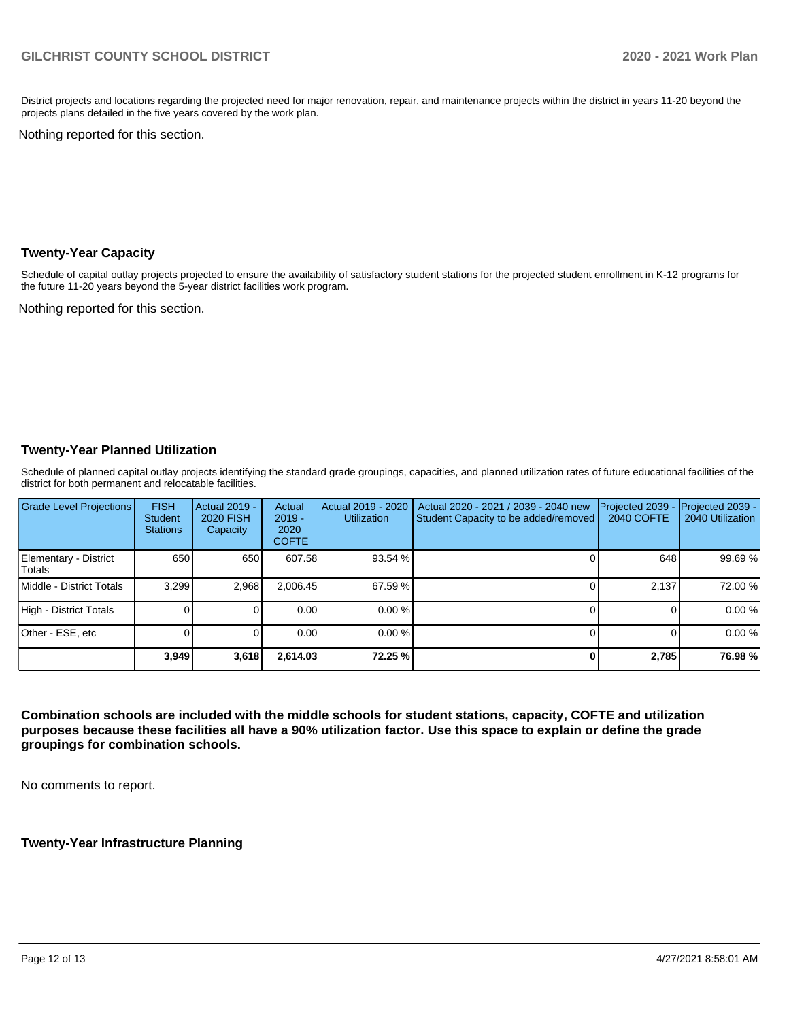District projects and locations regarding the projected need for major renovation, repair, and maintenance projects within the district in years 11-20 beyond the projects plans detailed in the five years covered by the work plan.

Nothing reported for this section.

#### **Twenty-Year Capacity**

Schedule of capital outlay projects projected to ensure the availability of satisfactory student stations for the projected student enrollment in K-12 programs for the future 11-20 years beyond the 5-year district facilities work program.

Nothing reported for this section.

### **Twenty-Year Planned Utilization**

Schedule of planned capital outlay projects identifying the standard grade groupings, capacities, and planned utilization rates of future educational facilities of the district for both permanent and relocatable facilities.

| <b>Grade Level Projections</b>  | <b>FISH</b><br><b>Student</b><br><b>Stations</b> | Actual 2019 -<br><b>2020 FISH</b><br>Capacity | Actual<br>$2019 -$<br>2020<br><b>COFTE</b> | Actual 2019 - 2020<br><b>Utilization</b> | Actual 2020 - 2021 / 2039 - 2040 new<br>Student Capacity to be added/removed | Projected 2039<br><b>2040 COFTE</b> | Projected 2039 -<br>2040 Utilization |
|---------------------------------|--------------------------------------------------|-----------------------------------------------|--------------------------------------------|------------------------------------------|------------------------------------------------------------------------------|-------------------------------------|--------------------------------------|
| Elementary - District<br>Totals | 650                                              | 650                                           | 607.58                                     | 93.54 %                                  |                                                                              | 648                                 | 99.69 %                              |
| Middle - District Totals        | 3.299                                            | 2.968                                         | 2.006.45                                   | 67.59 %                                  |                                                                              | 2.137                               | 72.00 %                              |
| High - District Totals          |                                                  |                                               | 0.00                                       | 0.00%                                    |                                                                              |                                     | 0.00%                                |
| Other - ESE, etc                |                                                  |                                               | 0.00                                       | 0.00%                                    |                                                                              |                                     | 0.00%                                |
|                                 | 3.949                                            | 3,618                                         | 2,614.03                                   | 72.25 %                                  |                                                                              | 2,785                               | 76.98%                               |

**Combination schools are included with the middle schools for student stations, capacity, COFTE and utilization purposes because these facilities all have a 90% utilization factor. Use this space to explain or define the grade groupings for combination schools.** 

No comments to report.

**Twenty-Year Infrastructure Planning**